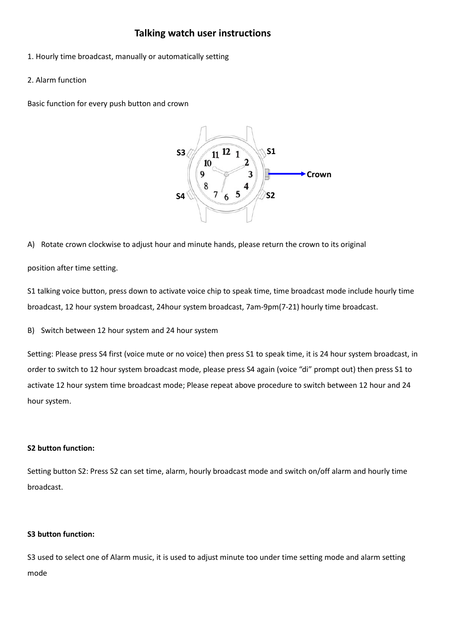# **Talking watch user instructions**

- 1. Hourly time broadcast, manually or automatically setting
- 2. Alarm function

Basic function for every push button and crown



A) Rotate crown clockwise to adjust hour and minute hands, please return the crown to its original

position after time setting.

S1 talking voice button, press down to activate voice chip to speak time, time broadcast mode include hourly time broadcast, 12 hour system broadcast, 24hour system broadcast, 7am-9pm(7-21) hourly time broadcast.

B) Switch between 12 hour system and 24 hour system

Setting: Please press S4 first (voice mute or no voice) then press S1 to speak time, it is 24 hour system broadcast, in order to switch to 12 hour system broadcast mode, please press S4 again (voice "di" prompt out) then press S1 to activate 12 hour system time broadcast mode; Please repeat above procedure to switch between 12 hour and 24 hour system.

## **S2 button function:**

Setting button S2: Press S2 can set time, alarm, hourly broadcast mode and switch on/off alarm and hourly time broadcast.

## **S3 button function:**

S3 used to select one of Alarm music, it is used to adjust minute too under time setting mode and alarm setting mode